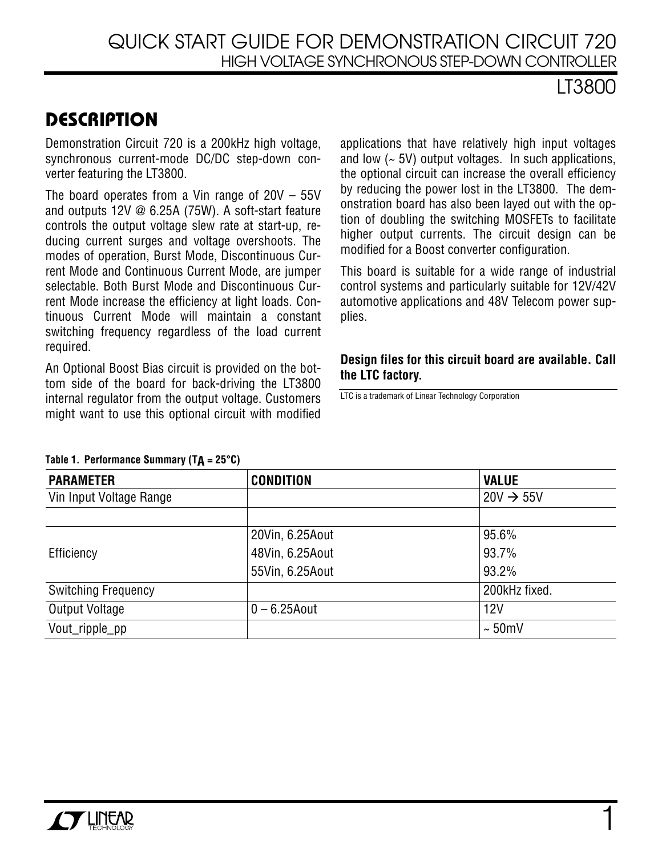## QUICK START GUIDE FOR DEMONSTRATION CIRCUIT 720 HIGH VOLTAGE SYNCHRONOUS STEP-DOWN CONTROLLER

## LT3800

## **DESCRIPTION**

Demonstration Circuit 720 is a 200kHz high voltage, synchronous current-mode DC/DC step-down converter featuring the LT3800.

The board operates from a Vin range of 20V – 55V and outputs 12V @ 6.25A (75W). A soft-start feature controls the output voltage slew rate at start-up, reducing current surges and voltage overshoots. The modes of operation, Burst Mode, Discontinuous Current Mode and Continuous Current Mode, are jumper selectable. Both Burst Mode and Discontinuous Current Mode increase the efficiency at light loads. Continuous Current Mode will maintain a constant switching frequency regardless of the load current required.

An Optional Boost Bias circuit is provided on the bottom side of the board for back-driving the LT3800 internal regulator from the output voltage. Customers might want to use this optional circuit with modified

applications that have relatively high input voltages and low  $(-5V)$  output voltages. In such applications, the optional circuit can increase the overall efficiency by reducing the power lost in the LT3800. The demonstration board has also been layed out with the option of doubling the switching MOSFETs to facilitate higher output currents. The circuit design can be modified for a Boost converter configuration.

This board is suitable for a wide range of industrial control systems and particularly suitable for 12V/42V automotive applications and 48V Telecom power supplies.

### **Design files for this circuit board are available. Call the LTC factory.**

LTC is a trademark of Linear Technology Corporation

| <b>PARAMETER</b>           | <b>CONDITION</b> | <b>VALUE</b>          |
|----------------------------|------------------|-----------------------|
| Vin Input Voltage Range    |                  | $20V \rightarrow 55V$ |
|                            |                  |                       |
|                            | 20Vin, 6.25Aout  | 95.6%                 |
| Efficiency                 | 48Vin, 6.25Aout  | 93.7%                 |
|                            | 55Vin, 6.25Aout  | 93.2%                 |
| <b>Switching Frequency</b> |                  | 200kHz fixed.         |
| Output Voltage             | $0 - 6.25$ Aout  | 12V                   |
| Vout_ripple_pp             |                  | $\sim 50$ mV          |

#### **Table 1. Performance Summary (TA = 25°C)**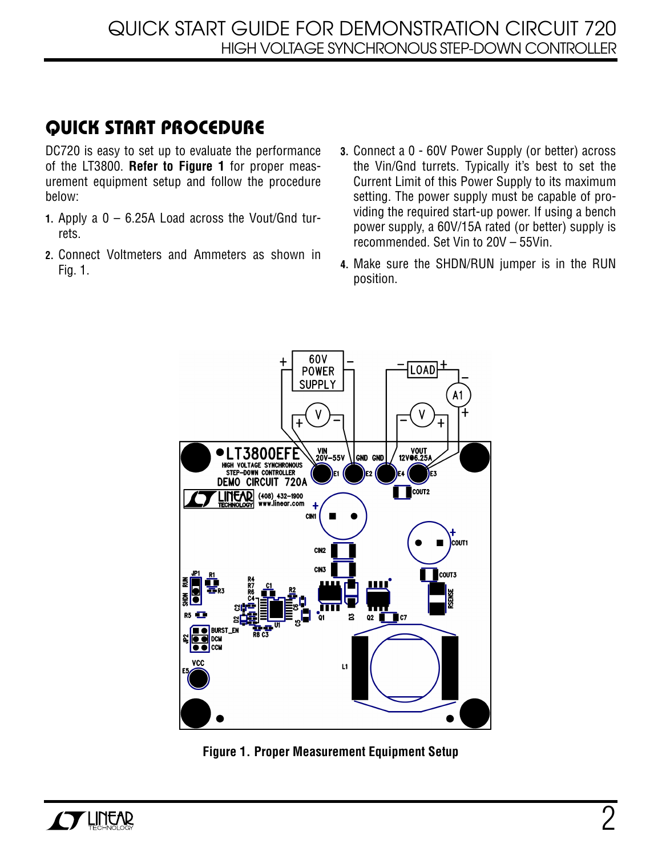# **QUICK START PROCEDURE**

DC720 is easy to set up to evaluate the performance of the LT3800. **Refer to Figure 1** for proper measurement equipment setup and follow the procedure below:

- **1.** Apply a 0 6.25A Load across the Vout/Gnd turrets.
- **2.** Connect Voltmeters and Ammeters as shown in Fig. 1.
- **3.** Connect a 0 60V Power Supply (or better) across the Vin/Gnd turrets. Typically it's best to set the Current Limit of this Power Supply to its maximum setting. The power supply must be capable of providing the required start-up power. If using a bench power supply, a 60V/15A rated (or better) supply is recommended. Set Vin to 20V – 55Vin.
- **4.** Make sure the SHDN/RUN jumper is in the RUN position.